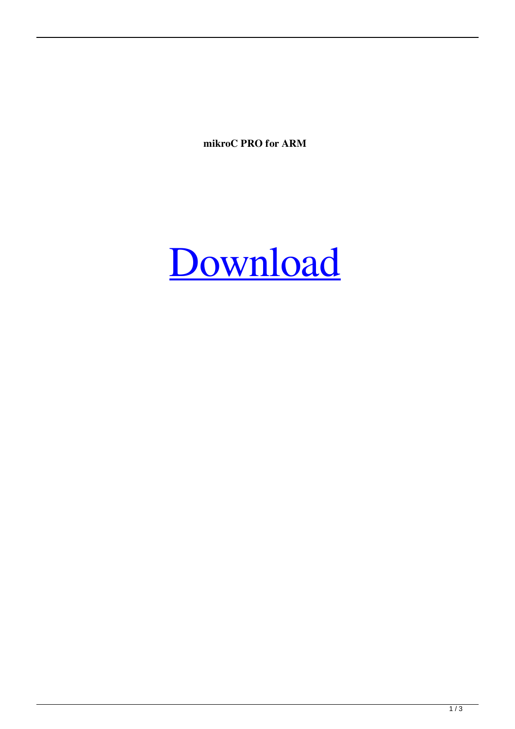**mikroC PRO for ARM**

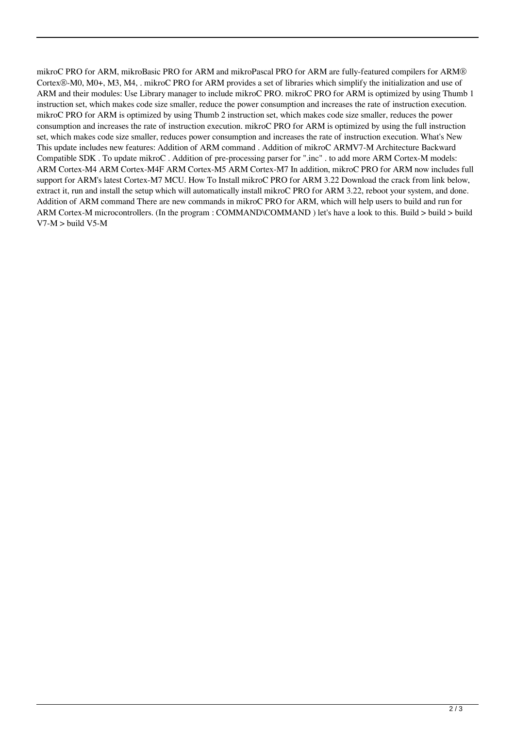mikroC PRO for ARM, mikroBasic PRO for ARM and mikroPascal PRO for ARM are fully-featured compilers for ARM® Cortex®-M0, M0+, M3, M4, . mikroC PRO for ARM provides a set of libraries which simplify the initialization and use of ARM and their modules: Use Library manager to include mikroC PRO. mikroC PRO for ARM is optimized by using Thumb 1 instruction set, which makes code size smaller, reduce the power consumption and increases the rate of instruction execution. mikroC PRO for ARM is optimized by using Thumb 2 instruction set, which makes code size smaller, reduces the power consumption and increases the rate of instruction execution. mikroC PRO for ARM is optimized by using the full instruction set, which makes code size smaller, reduces power consumption and increases the rate of instruction execution. What's New This update includes new features: Addition of ARM command . Addition of mikroC ARMV7-M Architecture Backward Compatible SDK . To update mikroC . Addition of pre-processing parser for ".inc" . to add more ARM Cortex-M models: ARM Cortex-M4 ARM Cortex-M4F ARM Cortex-M5 ARM Cortex-M7 In addition, mikroC PRO for ARM now includes full support for ARM's latest Cortex-M7 MCU. How To Install mikroC PRO for ARM 3.22 Download the crack from link below, extract it, run and install the setup which will automatically install mikroC PRO for ARM 3.22, reboot your system, and done. Addition of ARM command There are new commands in mikroC PRO for ARM, which will help users to build and run for ARM Cortex-M microcontrollers. (In the program : COMMAND\COMMAND) let's have a look to this. Build > build > build  $V7-M >$  build V5-M